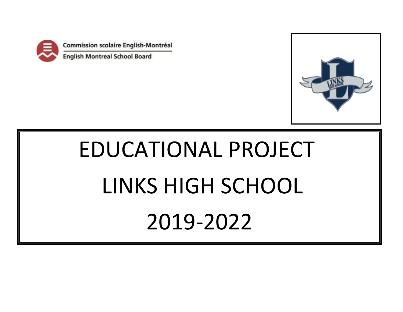

Commission scolaire English-Montréal

**English Montreal School Board** 



# EDUCATIONAL PROJECT LINKS HIGH SCHOOL 2019-2022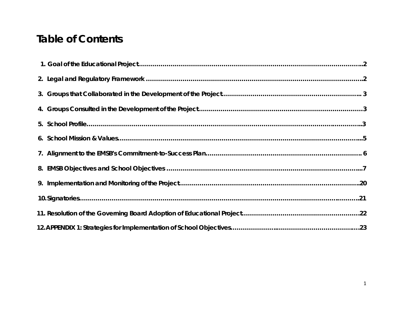### **Table of Contents**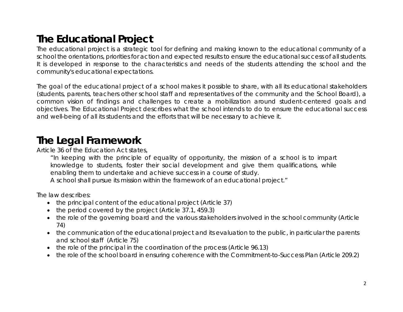### **The Educational Project**

The educational project is a strategic tool for defining and making known to the educational community of a school the orientations, priorities for action and expected results to ensure the educational success of all students. It is developed in response to the characteristics and needs of the students attending the school and the community's educational expectations.

The goal of the educational project of a school makes it possible to share, with all its educational stakeholders (students, parents, teachers other school staff and representatives of the community and the School Board), a common vision of findings and challenges to create a mobilization around student-centered goals and objectives. The Educational Project describes what the school intends to do to ensure the educational success and well-being of all its students and the efforts that will be necessary to achieve it.

### **The Legal Framework**

Article 36 of the Education Act states,

"In keeping with the principle of equality of opportunity, the mission of a school is to impart knowledge to students, foster their social development and give them qualifications, while enabling them to undertake and achieve success in a course of study. A school shall pursue its mission within the framework of an educational project."

The law describes:

- the principal content of the educational project (Article 37)
- the period covered by the project (Article 37.1, 459.3)
- the role of the governing board and the various stakeholders involved in the school community (Article 74)
- the communication of the educational project and its evaluation to the public, in particular the parents and school staff (Article 75)
- the role of the principal in the coordination of the process (Article 96.13)
- the role of the school board in ensuring coherence with the Commitment-to-Success Plan (Article 209.2)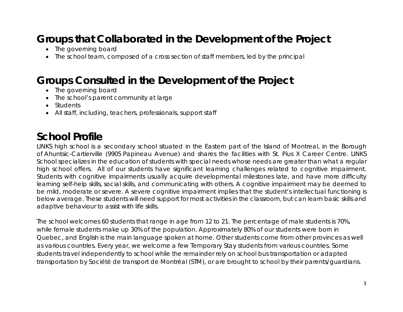### **Groups that Collaborated in the Development of the Project**

- The governing board
- The school team, composed of a cross section of staff members, led by the principal

### **Groups Consulted in the Development of the Project**

- The governing board
- The school's parent community at large
- Students
- All staff, including, teachers, professionals, support staff

### **School Profile**

LINKS high school is a secondary school situated in the Eastern part of the Island of Montreal, in the Borough of Ahuntsic-Cartierville (9905 Papineau Avenue) and shares the facilities with St. Pius X Career Centre. LINKS School specializes in the education of students with special needs whose needs are greater than what a regular high school offers. All of our students have significant learning challenges related to cognitive impairment. Students with cognitive impairments usually acquire developmental milestones late, and have more difficulty learning self-help skills, social skills, and communicating with others. A cognitive impairment may be deemed to be mild, moderate or severe. A severe cognitive impairment implies that the student's intellectual functioning is below average. These students will need support for most activities in the classroom, but can learn basic skills and adaptive behaviour to assist with life skills.

The school welcomes 60 students that range in age from 12 to 21. The percentage of male students is 70%, while female students make up 30% of the population. Approximately 80% of our students were born in Quebec, and English is the main language spoken at home. Other students come from other provinces as well as various countries. Every year, we welcome a few Temporary Stay students from various countries. Some students travel independently to school while the remainder rely on school bus transportation or adapted transportation by Société de transport de Montréal (STM), or are brought to school by their parents/guardians.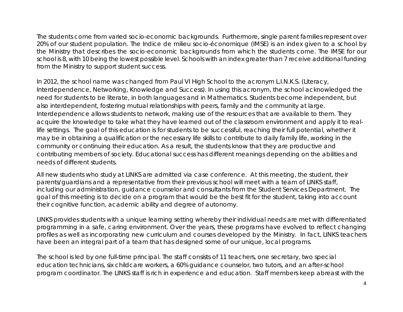The students come from varied socio-economic backgrounds. Furthermore, single parent families represent over 20% of our student population. The *Indice de milieu socio-économique* (IMSE) is an index given to a school by the Ministry that describes the socio-economic backgrounds from which the students come. The IMSE for our school is 8, with 10 being the lowest possible level. Schools with an index greater than 7 receive additional funding from the Ministry to support student success.

In 2012, the school name was changed from Paul VI High School to the acronym L.I.N.K.S. (Literacy, Interdependence, Networking, Knowledge and Success). In using this acronym, the school acknowledged the need for students to be literate, in both languages and in Mathematics. Students become independent, but also interdependent, fostering mutual relationships with peers, family and the community at large. Interdependence allows students to network, making use of the resources that are available to them. They acquire the knowledge to take what they have learned out of the classroom environment and apply it to reallife settings. The goal of this education is for students to be successful, reaching their full potential, whether it may be in obtaining a qualification or the necessary life skills to contribute to daily family life, working in the community or continuing their education. As a result, the students know that they are productive and contributing members of society. Educational success has different meanings depending on the abilities and needs of different students.

All new students who study at LINKS are admitted via case conference. At this meeting, the student, their parents/guardians and a representative from their previous school will meet with a team of LINKS staff, including our administration, guidance counselor and consultants from the Student Services Department. The goal of this meeting is to decide on a program that would be the best fit for the student, taking into account their cognitive function, academic ability and degree of autonomy.

LINKS provides students with a unique learning setting whereby their individual needs are met with differentiated programming in a safe, caring environment. Over the years, these programs have evolved to reflect changing profiles as well as incorporating new curriculum and courses developed by the Ministry. In fact, LINKS teachers have been an integral part of a team that has designed some of our unique, local programs.

The school is led by one full-time principal. The staff consists of 11 teachers, one secretary, two special education technicians, six childcare workers, a 60% guidance counselor, two tutors, and an after-school program coordinator. The LINKS staff is rich in experience and education. Staff members keep abreast with the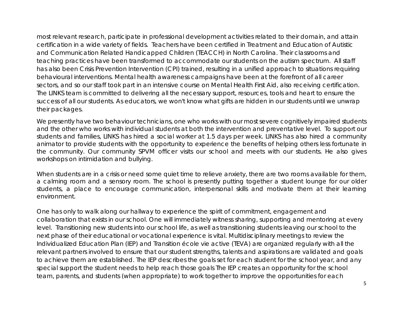most relevant research, participate in professional development activities related to their domain, and attain certification in a wide variety of fields. Teachers have been certified in Treatment and Education of Autistic and Communication Related Handicapped Children (TEACCH) in North Carolina. Their classrooms and teaching practices have been transformed to accommodate our students on the autism spectrum. All staff has also been Crisis Prevention Intervention (CPI) trained, resulting in a unified approach to situations requiring behavioural interventions. Mental health awareness campaigns have been at the forefront of all career sectors, and so our staff took part in an intensive course on Mental Health First Aid, also receiving certification. The LINKS team is committed to delivering all the necessary support, resources, tools and heart to ensure the success of all our students. As educators, we won't know what gifts are hidden in our students until we unwrap their packages.

We presently have two behaviour technicians, one who works with our most severe cognitively impaired students and the other who works with individual students at both the intervention and preventative level. To support our students and families, LINKS has hired a social worker at 1.5 days per week. LINKS has also hired a community animator to provide students with the opportunity to experience the benefits of helping others less fortunate in the community. Our community SPVM officer visits our school and meets with our students. He also gives workshops on intimidation and bullying.

When students are in a crisis or need some quiet time to relieve anxiety, there are two rooms available for them, a calming room and a sensory room. The school is presently putting together a student lounge for our older students, a place to encourage communication, interpersonal skills and motivate them at their learning environment.

One has only to walk along our hallway to experience the spirit of commitment, engagement and collaboration that exists in our school. One will immediately witness sharing, supporting and mentoring at every level. Transitioning new students into our school life, as well as transitioning students leaving our school to the next phase of their educational or vocational experience is vital. Multidisciplinary meetings to review the Individualized Education Plan (IEP) and Transition école vie active (TEVA) are organized regularly with all the relevant partners involved to ensure that our student strengths, talents and aspirations are validated and goals to achieve them are established. The IEP describes the goals set for each student for the school year, and any special support the student needs to help reach those goals The IEP creates an opportunity for the school team, parents, and students (when appropriate) to work together to improve the opportunities for each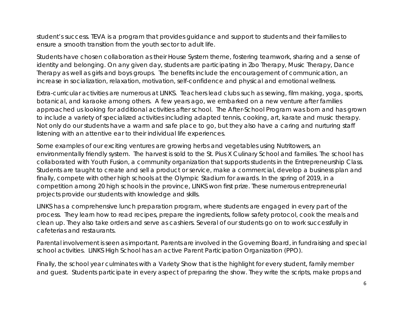student's success. TEVA is a program that provides guidance and support to students and their families to ensure a smooth transition from the youth sector to adult life.

Students have chosen collaboration as their House System theme, fostering teamwork, sharing and a sense of identity and belonging. On any given day, students are participating in Zoo Therapy, Music Therapy, Dance Therapy as well as girls and boys groups. The benefits include the encouragement of communication, an increase in socialization, relaxation, motivation, self-confidence and physical and emotional wellness.

Extra-curricular activities are numerous at LINKS. Teachers lead clubs such as sewing, film making, yoga, sports, botanical, and karaoke among others. A few years ago, we embarked on a new venture after families approached us looking for additional activities after school. The After-School Program was born and has grown to include a variety of specialized activities including adapted tennis, cooking, art, karate and music therapy. Not only do our students have a warm and safe place to go, but they also have a caring and nurturing staff listening with an attentive ear to their individual life experiences.

Some examples of our exciting ventures are growing herbs and vegetables using Nutritowers, an environmentally friendly system. The harvest is sold to the St. Pius X Culinary School and families. The school has collaborated with Youth Fusion, a community organization that supports students in the Entrepreneurship Class. Students are taught to create and sell a product or service, make a commercial, develop a business plan and finally, compete with other high schools at the Olympic Stadium for awards. In the spring of 2019, in a competition among 20 high schools in the province, LINKS won first prize. These numerous entrepreneurial projects provide our students with knowledge and skills.

LINKS has a comprehensive lunch preparation program, where students are engaged in every part of the process. They learn how to read recipes, prepare the ingredients, follow safety protocol, cook the meals and clean up. They also take orders and serve as cashiers. Several of our students go on to work successfully in cafeterias and restaurants.

Parental involvement is seen as important. Parents are involved in the Governing Board, in fundraising and special school activities. LINKS High School has an active Parent Participation Organization (PPO).

Finally, the school year culminates with a Variety Show that is the highlight for every student, family member and guest. Students participate in every aspect of preparing the show. They write the scripts, make props and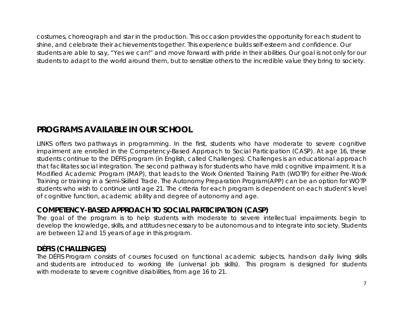costumes, choreograph and star in the production. This occasion provides the opportunity for each student to shine, and celebrate their achievements together. This experience builds self-esteem and confidence. Our students are able to say, "Yes we can!" and move forward with pride in their abilities. Our goal is not only for our students to adapt to the world around them, but to sensitize others to the incredible value they bring to society.

### **PROGRAMS AVAILABLE IN OUR SCHOOL**

LINKS offers two pathways in programming. In the first, students who have moderate to severe cognitive impairment are enrolled in the Competency-Based Approach to Social Participation (CASP). At age 16, these students continue to the DÉFIS program (in English, called Challenges). Challenges is an educational approach that facilitates social integration. The second pathway is for students who have mild cognitive impairment. It is a Modified Academic Program (MAP), that leads to the Work Oriented Training Path (WOTP) for either Pre-Work Training or training in a Semi-Skilled Trade. The Autonomy Preparation Program(APP) can be an option for WOTP students who wish to continue until age 21. The criteria for each program is dependent on each student's level of cognitive function, academic ability and degree of autonomy and age.

#### **COMPETENCY-BASED APPROACH TO SOCIAL PARTICIPATION (CASP)**

The goal of the program is to help students with moderate to severe intellectual impairments begin to develop the knowledge, skills, and attitudes necessary to be autonomous and to integrate into society. Students are between 12 and 15 years of age in this program.

#### **DÉFIS (CHALLENGES)**

The DÉFIS Program consists of courses focused on functional academic subjects, hands-on daily living skills and students are introduced to working life (universal job skills). This program is designed for students with moderate to severe cognitive disabilities, from age 16 to 21.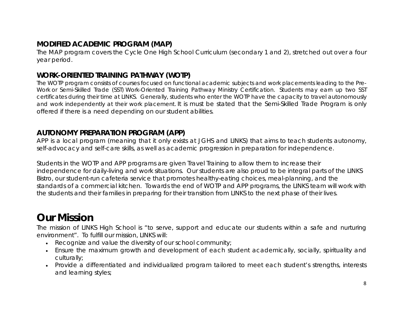### **MODIFIED ACADEMIC PROGRAM (MAP)**

The MAP program covers the Cycle One High School Curriculum (secondary 1 and 2), stretched out over a four year period.

#### **WORK-ORIENTED TRAINING PATHWAY (WOTP)**

The WOTP program consists of courses focused on functional academic subjects and work placements leading to the Pre-Work or Semi-Skilled Trade (SST) Work-Oriented Training Pathway Ministry Certification. Students may earn up two SST certificates during their time at LINKS. Generally, students who enter the WOTP have the capacity to travel autonomously and work independently at their work placement. It is must be stated that the Semi-Skilled Trade Program is only offered if there is a need depending on our student abilities.

#### **AUTONOMY PREPARATION PROGRAM (APP)**

APP is a local program (meaning that it only exists at JGHS and LINKS) that aims to teach students autonomy, self-advocacy and self-care skills, as well as academic progression in preparation for independence.

Students in the WOTP and APP programs are given Travel Training to allow them to increase their independence for daily-living and work situations. Our students are also proud to be integral parts of the LINKS Bistro, our student-run cafeteria service that promotes healthy-eating choices, meal-planning, and the standards of a commercial kitchen. Towards the end of WOTP and APP programs, the LINKS team will work with the students and their families in preparing for their transition from LINKS to the next phase of their lives.

### **Our Mission**

The mission of LINKS High School is "to serve, support and educate our students within a safe and nurturing environment". To fulfill our mission, LINKS will:

- Recognize and value the diversity of our school community;
- Ensure the maximum growth and development of each student academically, socially, spirituality and culturally;
- Provide a differentiated and individualized program tailored to meet each student's strengths, interests and learning styles;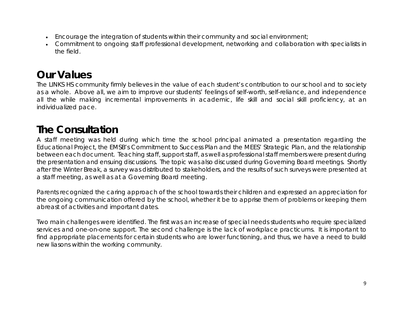- Encourage the integration of students within their community and social environment;
- Commitment to ongoing staff professional development, networking and collaboration with specialists in the field.

### **Our Values**

The LINKS HS community firmly believes in the value of each student's contribution to our school and to society as a whole. Above all, we aim to improve our students' feelings of self-worth, self-reliance, and independence all the while making incremental improvements in academic, life skill and social skill proficiency, at an individualized pace.

### **The Consultation**

A staff meeting was held during which time the school principal animated a presentation regarding the Educational Project, the EMSB's Commitment to Success Plan and the MEES' Strategic Plan, and the relationship between each document. Teaching staff, support staff, as well as professional staff members were present during the presentation and ensuing discussions. The topic was also discussed during Governing Board meetings. Shortly after the Winter Break, a survey was distributed to stakeholders, and the results of such surveys were presented at a staff meeting, as well as at a Governing Board meeting.

Parents recognized the caring approach of the school towards their children and expressed an appreciation for the ongoing communication offered by the school, whether it be to apprise them of problems or keeping them abreast of activities and important dates.

Two main challenges were identified. The first was an increase of special needs students who require specialized services and one-on-one support. The second challenge is the lack of workplace practicums. It is important to find appropriate placements for certain students who are lower functioning, and thus, we have a need to build new liasons within the working community.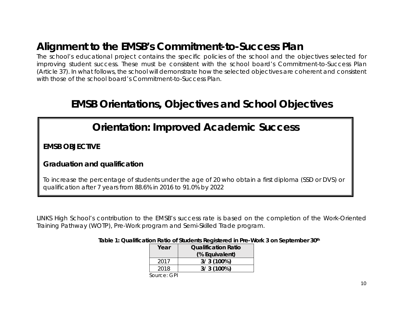### **Alignment to the EMSB's Commitment-to-Success Plan**

The school's educational project contains the specific policies of the school and the objectives selected for improving student success. These must be consistent with the school board's Commitment-to-Success Plan (Article 37). In what follows, the school will demonstrate how the selected objectives are coherent and consistent with those of the school board's Commitment-to-Success Plan.

### **EMSB Orientations, Objectives and School Objectives**

### *Orientation: Improved Academic Success*

**EMSB OBJECTIVE** 

### **Graduation and qualification**

To increase the percentage of students under the age of 20 who obtain a first diploma (SSD or DVS) or qualification after 7 years from 88.6% in 2016 to 91.0% by 2022

LINKS High School's contribution to the EMSB's success rate is based on the completion of the Work-Oriented Training Pathway (WOTP), Pre-Work program and Semi-Skilled Trade program.

|  | Year | <b>Oualification Ratio</b> |  |
|--|------|----------------------------|--|
|  |      | (% Equivalent)             |  |
|  | 2017 | $3/3(100\%)$               |  |
|  | 2018 | $3/3(100\%)$               |  |
|  |      |                            |  |

 **Table 1: Qualification Ratio of Students Registered in Pre-Work 3 on September 30th**

 *Source: GPI*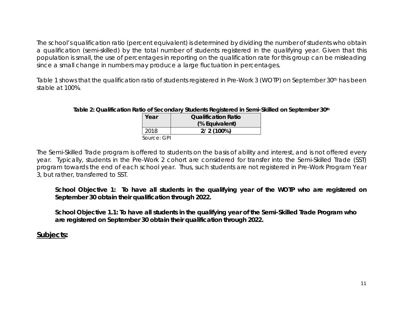The school's qualification ratio (percent equivalent) is determined by dividing the number of students who obtain a qualification (semi-skilled) by the total number of students registered in the qualifying year. Given that this population is small, the use of percentages in reporting on the qualification rate for this group can be misleading since a small change in numbers may produce a large fluctuation in percentages.

Table 1 shows that the qualification ratio of students registered in Pre-Work 3 (WOTP) on September 30th has been stable at 100%.

#### **Table 2: Qualification Ratio of Secondary Students Registered in Semi-Skilled on September 30th**

| Year        | <b>Oualification Ratio</b> |  |
|-------------|----------------------------|--|
|             | (% Equivalent)             |  |
| 2018        | $2/2(100\%)$               |  |
| Source: GPI |                            |  |

The Semi-Skilled Trade program is offered to students on the basis of ability and interest, and is not offered every year. Typically, students in the Pre-Work 2 cohort are considered for transfer into the Semi-Skilled Trade (SST) program towards the end of each school year. Thus, such students are not registered in Pre-Work Program Year 3, but rather, transferred to SST.

**School Objective 1: To have all students in the qualifying year of the WOTP who are registered on September 30 obtain their qualification through 2022.** 

**School Objective 1.1: To have all students in the qualifying year of the Semi-Skilled Trade Program who are registered on September 30 obtain their qualification through 2022.**

#### **Subjects:**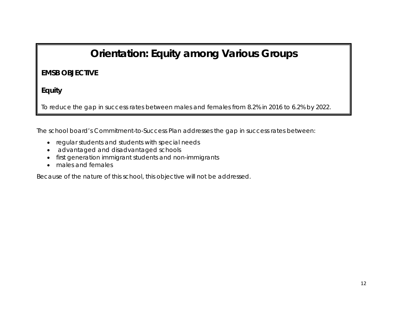### *Orientation: Equity among Various Groups*

### **EMSB OBJECTIVE**

**Equity**

To reduce the gap in success rates between males and females from 8.2% in 2016 to 6.2% by 2022.

The school board's Commitment-to-Success Plan addresses the gap in success rates between:

- regular students and students with special needs
- advantaged and disadvantaged schools
- first generation immigrant students and non-immigrants
- males and females

Because of the nature of this school, this objective will not be addressed.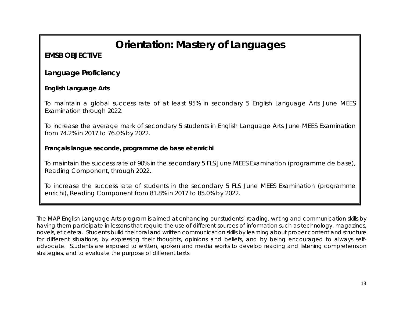### *Orientation: Mastery of Languages*

### **EMSB OBJECTIVE**

#### **Language Proficiency**

#### **English Language Arts**

To maintain a global success rate of at least 95% in secondary 5 English Language Arts June MEES Examination through 2022.

To increase the average mark of secondary 5 students in English Language Arts June MEES Examination from 74.2% in 2017 to 76.0% by 2022.

#### **Français langue seconde, programme de base et enrichi**

To maintain the success rate of 90% in the secondary 5 FLS June MEES Examination (programme de base), Reading Component, through 2022.

To increase the success rate of students in the secondary 5 FLS June MEES Examination (programme enrichi), Reading Component from 81.8% in 2017 to 85.0% by 2022.

The MAP English Language Arts program is aimed at enhancing our students' reading, writing and communication skills by having them participate in lessons that require the use of different sources of information such as technology, magazines, novels, et cetera. Students build their oral and written communication skills by learning about proper content and structure for different situations, by expressing their thoughts, opinions and beliefs, and by being encouraged to always selfadvocate. Students are exposed to written, spoken and media works to develop reading and listening comprehension strategies, and to evaluate the purpose of different texts.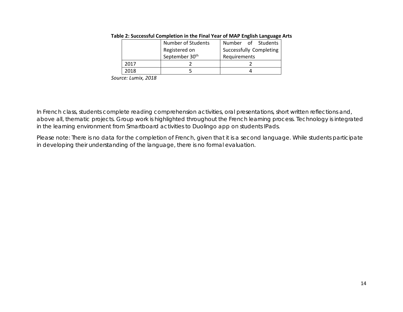| <b>Number of Students</b> |                            | Number of Students      |
|---------------------------|----------------------------|-------------------------|
|                           | Registered on              | Successfully Completing |
|                           | September 30 <sup>th</sup> | Requirements            |
| 2017                      |                            |                         |
| 2018                      |                            |                         |

#### **Table 2: Successful Completion in the Final Year of MAP English Language Arts**

*Source: Lumix, 2018*

In French class, students complete reading comprehension activities, oral presentations, short written reflections and, above all, thematic projects. Group work is highlighted throughout the French learning process. Technology is integrated in the learning environment from Smartboard activities to Duolingo app on students IPads.

Please note: There is no data for the completion of French, given that it is a second language. While students participate in developing their understanding of the language, there is no formal evaluation.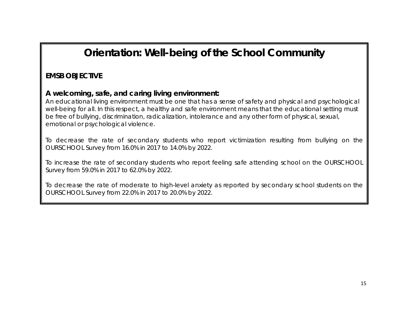### *Orientation: Well-being of the School Community*

### **EMSB OBJECTIVE**

#### **A welcoming, safe, and caring living environment:**

An educational living environment must be one that has a sense of safety and physical and psychological well-being for all. In this respect, a healthy and safe environment means that the educational setting must be free of bullying, discrimination, radicalization, intolerance and any other form of physical, sexual, emotional or psychological violence.

To decrease the rate of secondary students who report victimization resulting from bullying on the OURSCHOOL Survey from 16.0% in 2017 to 14.0% by 2022.

To increase the rate of secondary students who report feeling safe attending school on the OURSCHOOL Survey from 59.0% in 2017 to 62.0% by 2022.

To decrease the rate of moderate to high-level anxiety as reported by secondary school students on the OURSCHOOL Survey from 22.0% in 2017 to 20.0% by 2022.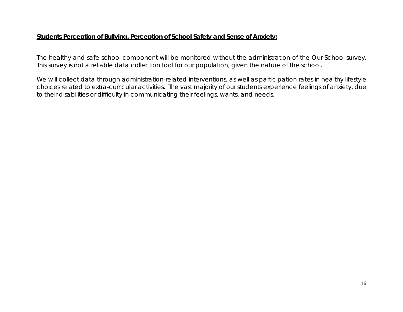#### **Students Perception of Bullying, Perception of School Safety and Sense of Anxiety:**

The healthy and safe school component will be monitored without the administration of the Our School survey. This survey is not a reliable data collection tool for our population, given the nature of the school.

We will collect data through administration-related interventions, as well as participation rates in healthy lifestyle choices related to extra-curricular activities. The vast majority of our students experience feelings of anxiety, due to their disabilities or difficulty in communicating their feelings, wants, and needs.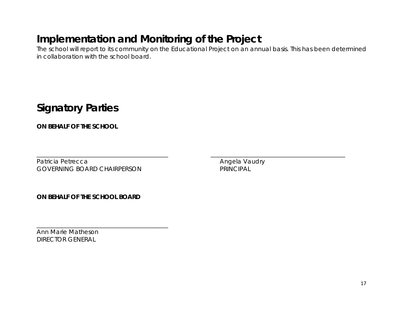### **Implementation and Monitoring of the Project**

The school will report to its community on the Educational Project on an annual basis. This has been determined in collaboration with the school board.

**Signatory Parties**

**ON BEHALF OF THE SCHOOL**

Patricia Petrecca **Angela Vaudry** Patricia Petrecca **Angela Vaudry** GOVERNING BOARD CHAIRPERSON PRINCIPAL

\_\_\_\_\_\_\_\_\_\_\_\_\_\_\_\_\_\_\_\_\_\_\_\_\_\_\_\_\_\_\_\_\_\_\_\_\_\_\_\_\_\_\_\_\_\_\_ \_\_\_\_\_\_\_\_\_\_\_\_\_\_\_\_\_\_\_\_\_\_\_\_\_\_\_\_\_\_\_\_\_\_\_\_\_\_\_\_\_\_\_\_\_\_\_\_

**ON BEHALF OF THE SCHOOL BOARD**

\_\_\_\_\_\_\_\_\_\_\_\_\_\_\_\_\_\_\_\_\_\_\_\_\_\_\_\_\_\_\_\_\_\_\_\_\_\_\_\_\_\_\_\_\_\_\_

Ann Marie Matheson DIRECTOR GENERAL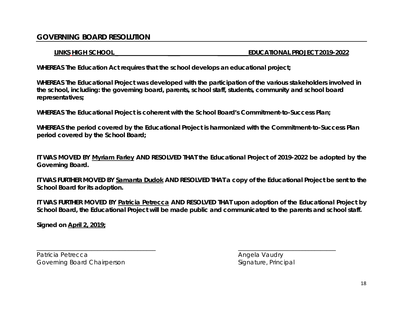#### **GOVERNING BOARD RESOLUTION**

#### **LINKS HIGH SCHOOL \_ \_\_\_\_ \_\_\_\_\_\_\_\_\_\_EDUCATIONAL PROJECT 2019-2022**

**WHEREAS The Education Act requires that the school develops an educational project;**

**WHEREAS The Educational Project was developed with the participation of the various stakeholders involved in the school, including: the governing board, parents, school staff, students, community and school board representatives;**

**WHEREAS The Educational Project is coherent with the School Board's Commitment-to-Success Plan;**

**WHEREAS the period covered by the Educational Project is harmonized with the Commitment-to-Success Plan period covered by the School Board;**

**IT WAS MOVED BY Myriam Farley AND RESOLVED THAT the Educational Project of 2019-2022 be adopted by the Governing Board.** 

**IT WAS FURTHER MOVED BY Samanta Dudok AND RESOLVED THAT a copy of the Educational Project be sent to the School Board for its adoption.** 

**IT WAS FURTHER MOVED BY Patricia Petrecca AND RESOLVED THAT upon adoption of the Educational Project by School Board, the Educational Project will be made public and communicated to the parents and school staff.** 

\_\_\_\_\_\_\_\_\_\_\_\_\_\_\_\_\_\_\_\_\_\_\_\_\_\_\_\_\_\_\_\_\_\_\_\_\_\_\_ \_\_\_\_\_\_\_\_\_\_\_\_\_\_\_\_\_\_\_\_\_\_\_\_\_\_\_\_\_\_\_\_

**Signed on April 2, 2019;**

Patricia Petrecca **Angela Vaudry** Patricia Petrecca **Angela Vaudry** Governing Board Chairperson Signature, Principal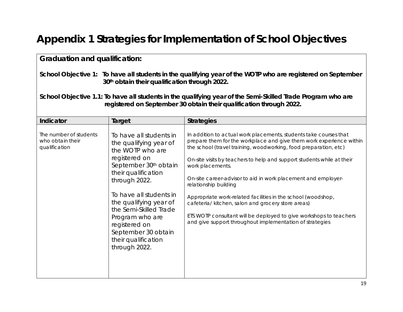## **Appendix 1 Strategies for Implementation of School Objectives**

| <b>Graduation and qualification:</b>                                                                                                                                               |                                                                                                                                                                                                                                                                                                                                                       |                                                                                                                                                                                                                                                                                                                                                                                                                                                                                                                                                                                                                                                              |  |  |  |
|------------------------------------------------------------------------------------------------------------------------------------------------------------------------------------|-------------------------------------------------------------------------------------------------------------------------------------------------------------------------------------------------------------------------------------------------------------------------------------------------------------------------------------------------------|--------------------------------------------------------------------------------------------------------------------------------------------------------------------------------------------------------------------------------------------------------------------------------------------------------------------------------------------------------------------------------------------------------------------------------------------------------------------------------------------------------------------------------------------------------------------------------------------------------------------------------------------------------------|--|--|--|
|                                                                                                                                                                                    | 30th obtain their qualification through 2022.                                                                                                                                                                                                                                                                                                         | School Objective 1: To have all students in the qualifying year of the WOTP who are registered on September                                                                                                                                                                                                                                                                                                                                                                                                                                                                                                                                                  |  |  |  |
| School Objective 1.1: To have all students in the qualifying year of the Semi-Skilled Trade Program who are<br>registered on September 30 obtain their qualification through 2022. |                                                                                                                                                                                                                                                                                                                                                       |                                                                                                                                                                                                                                                                                                                                                                                                                                                                                                                                                                                                                                                              |  |  |  |
| Indicator                                                                                                                                                                          | Target                                                                                                                                                                                                                                                                                                                                                | <b>Strategies</b>                                                                                                                                                                                                                                                                                                                                                                                                                                                                                                                                                                                                                                            |  |  |  |
| The number of students<br>who obtain their<br>qualification                                                                                                                        | To have all students in<br>the qualifying year of<br>the WOTP who are<br>registered on<br>September 30 <sup>th</sup> obtain<br>their qualification<br>through 2022.<br>To have all students in<br>the qualifying year of<br>the Semi-Skilled Trade<br>Program who are<br>registered on<br>September 30 obtain<br>their qualification<br>through 2022. | In addition to actual work placements, students take courses that<br>prepare them for the workplace and give them work experience within<br>the school (travel training, woodworking, food preparation, etc)<br>On-site visits by teachers to help and support students while at their<br>work placements.<br>On-site career-advisor to aid in work placement and employer-<br>relationship building<br>Appropriate work-related facilities in the school (woodshop,<br>cafeteria/ kitchen, salon and grocery store areas)<br>ETS WOTP consultant will be deployed to give workshops to teachers<br>and give support throughout implementation of strategies |  |  |  |